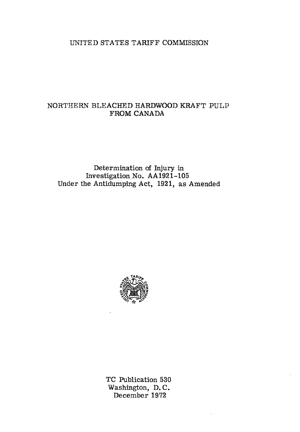## UNITED STATES TARIFF COMMISSION

# NORTHERN BLEACHED HARDWOOD KRAFT PULP FROM CANADA

Determination of Injury in Investigation No. AA1921-105 Under the Antidumping Act, 1921, as Amended



TC Publication 530 Washington, D. C. December 1972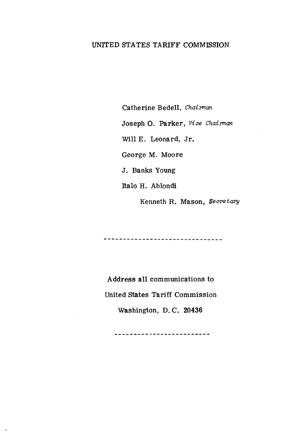## UNITED STATES TARIFF COMMISSION

Catherine Bedell, *Chairman* 

Joseph 0. Parker, *Vice Chaiman* 

Will E. Leonard, Jr.

George M. Moore

J. Banks Young

Italo H. Ablondi

Kenneth R. Mason, *Seeretary* 

-------------------------------

Address all communications to United States Tariff Commission Washington, D. C. 20436

-------------------------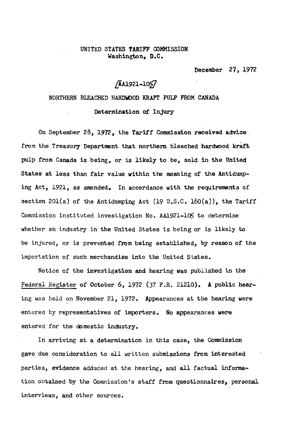## UNITED STATES TARIFF OOMMISSION Washington, D.C.

December 27, 1972

# $/4$ AA1921-lO5 $/$

## NORTHERN BLEACHED HARDWOOD KRAFT PULP FROM CANADA

Determination of Injury

On September 28, 1972, the Tariff Commission received advice. from the Treasury Department that northern bleached hardwood kraft pulp from Canada is being, or is likely to be, sold in the United States at less than fair value within the meaning of the Antidumping Act, 1921, as amended. In accordance with the requirements of section 201(a) of the Antidumping Act (19 U.S.C. 160(a)), the Tariff Commission instituted investigation No. AA1921-10S to determine whether an industry in the United States is being or is likely to be injured, or is prevented from being established, by reason of the importation of such merchandise into the United States.

Notice of the investigation and hearing was published in the Federal Register of October 6, 1972 (37 F.R. 21210). A public hearing was held on November 21, 1972. Appearances at the hearing were entered by representatives of importers. No appearances were entered for the domestic industry.

In arriving at a determination in this case, the Commission gave due consideration to all written submissions from interested parties, evidence adduced at the hearing, and all factual information obtained by the Commission's staff from questionnaires, personal interviews, and other sources.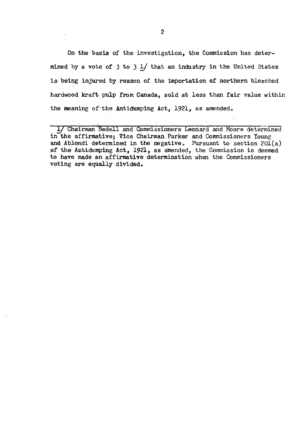On the basis of the investigation, the Commission has determined by a vote of  $\cdot$  3 to 3 1/ that an industry in the United States is being injured by reason of the importation of northern bleached hardwood kraft pulp from Canada, sold at less than fair value within the meaning of the Antidumping Act,  $192l$ , as amended.

1/ Chairman Bedell and Commissioners Leonard and Moore determined in the affirmative; Vice Chairman Parker and Commissioners Young and Ablondi determined in the negative. Pursuant to section  $201(a)$ of the Antidumping Act, 1921, as amended, the Commission is deemed to have made an affirmative determination when the Commissioners . voting are equally divided.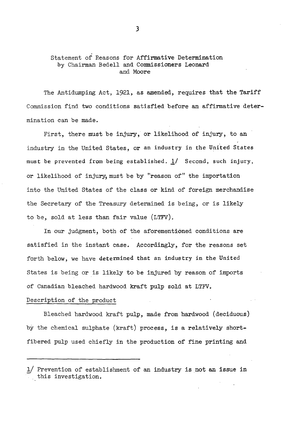## Statement of Reasons for Affirmative Determination by Chairman Bedell and Commissioners Leonard and Moore

The Antidumping Act, 1921, as amended, requires that the Tariff Commission find two conditions satisfied before an affirmative determination can be made.

First, there must be injury, or likelihood of injury, to an industry in the United States, or an industry in the United States must be prevented from being established.  $1/$  Second, such injury, or likelihood of injury, must be by "reason of" the importation into the United States of the class or kind of foreign merchandise the Secretary of the Treasury determined is being, or is likely to be, sold at less than fair value (LTFV).

In our judgment, both of the aforementioned conditions are satisfied in the instant case. Accordingly, for the reasons set forth below, we have determined that an industry in the United States is being or is likely to be injured by reason of imports of Canadian bleached hardwood kraft pulp sold at LTFV.

## Description of the product

Bleached hardwood kraft pulp, made from hardwood (deciduous) by the chemical sulphate (kraft) process, is a relatively shortfibered pulp used chiefly in the production of fine printing and

<sup>1/</sup> Prevention of establishment of an industry is not an issue in this investigation.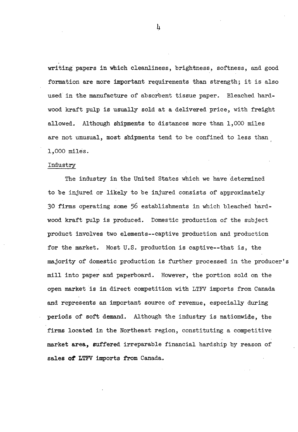writing papers in which cleanliness, brightness, softness, and good formation are more important requirements than strength; it is also used in the manufacture of absorbent tissue paper. Bleached hardwood kraft pulp is usually sold at a delivered price, with freight allowed. Although shipments to distances more than 1,000 miles are not unusual, most shipments tend to be confined to less than l,ooo miles.

#### Industry

The industry in the United States which we have determined to be injured or likely to be injured consists of approximately 30 firms operating some 56 establishments in which bleached hardwood kraft pulp is produced. Domestic production of the subject product involves two elements--captive production and production for the market. Most U.S. production is captive--that is, the majority of domestic production is further processed in the producer's mill into paper and paperboard. However, the portion sold on the open market is in direct competition with LTFV imports from Canada and represents an important source of revenue, especially during periods of soft demand. Although the industry is nationwide, the firms located in the Northeast region, constituting a competitive market area, suffered irreparable financial hardship by reason of sales of LTFV imports from Canada.

 $\mathbf{h}$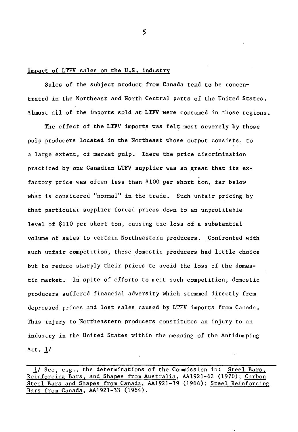#### Impact of LTFV sales on the U.S. industry

Sales of the subject product from Canada tend to be concentrated in the Northeast and North Central parts of the United States. Almost all of the imports sold at LTFV were consumed in those regions.

The effect of the LTFV imports was felt most severely by those pulp producers located in the Northeast whose output consists, to a large extent, of market pulp. There the price discrimination practiced by one Canadian LTFV supplier was so great that its exfactory price was often less than \$100 per short ton, far below what is considered "normal" in the trade. Such unfair pricing by that particular supplier forced prices down to an unprofitable level of \$110 per short ton, causing the loss of a substantial volume of sales to certain Northeastern producers. Confronted with such unfair competition, those domestic producers had little choice but to reduce sharply their prices to avoid the loss of the domestic market. In spite of efforts to meet such competition, domestic producers suffered financial adversity which stemmed directly from depressed prices and lost sales caused by LTFV imports from Canada. This injury to Northeastern producers constitutes an injury to an industry in the United States within the meaning of the Antidumping Act.  $1/$ 

<sup>11</sup> See, e.g., the determinations of the Commission in: Steel Bars, Reinforcing Bars, and Shapes from Australia, AA1921-62 (1970); Carbon Steel Bars and Shapes from Canada, AA1921-39 (1964); Steel Reinforcing Bars from Canada, AA1921-33 (1964).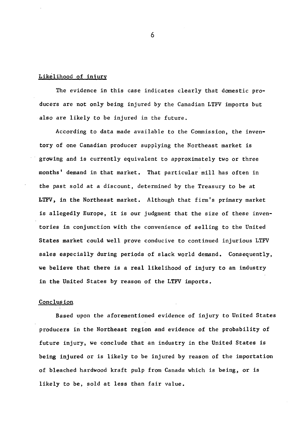## Likelihood of injury

The evidence in this case indicates clearly that domestic producers are not only being injured by the Canadian LTFV imports but also are likely to be injured in the future.

According to data made available to the Commission, the inventory of one Canadian producer supplying the Northeast market is growing and is currently equivalent to approximately two or three months' demand in that market. That particular mill has often in the past sold at a discount, determined by the Treasury to be at LTFV, in the Northeast market. Although that firm's primary market is allegedly Europe, it is our judgment that the size of these inventories in conjunction with the convenience of selling to the United States market could well prove conducive to continued injurious LTFV sales especially during periods of slack world demand. Consequently, we believe that there is a real likelihood of injury to an industry in the United States by reason of the LTFV imports.

## **Conclusion**

Based upon the aforementioned evidence of injury to United States producers in the Northeast region and evidence of the probability of future injury, we conclude that an industry in the United States is being injured or is likely to be injured by reason of the importation of bleached hardwood kraft pulp from Canada which is being, or is likely to be, sold at less than fair value.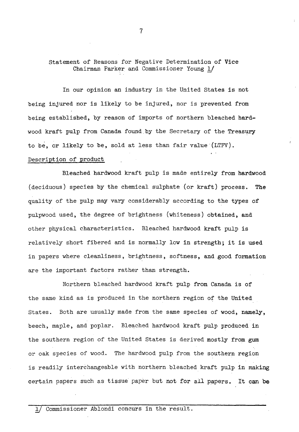Statement of Reasons for Negative Determination of Vice Chairman Parker and Commissioner Young 1/

In our opinion an industry in the United States is not being injured nor is likely to be injured, nor is prevented from being established, by reason of imports of northern bleached hardwood kraft pulp from Canada found by the Secretary of the Treasury to be, or likely to be, sold at less than fair value (LTFV). Description of product

Bleached hardwood kraft pulp is made entirely from hardwood (deciduous) species by the chemical sulphate (or kraft) process. The quality of the pulp may vary considerably according to the types of pulpwood used, the degree of brightness (whiteness) obtained, and other physical characteristics. Bleached hardwood kraft pulp is relatively short fibered and is normally low in strength; it is used in papers where cleanliness, brightness, softness, and good formation are the important factors rather than strength.

Northern bleached hardwood kraft pulp from Canada is of the same kind as is produced in the northern region of the United States. Both are usually made from the same species of wood, namely, beech, maple, and poplar. Bleached hardwood kraft pulp produced in the southern region of the United States is derived mostly from gum or oak species of wood. The hardwood pulp from the southern region is readily interchangeable with northern bleached kraft pulp in making certain papers such as tissue paper but not for all papers. It can be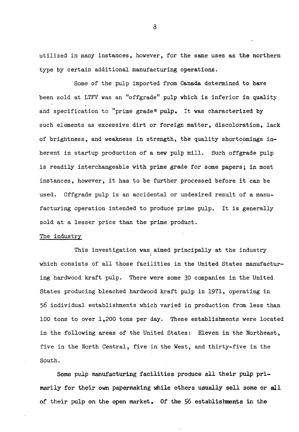utilized in many instances, however, for the same uses as the northern type by certain additional manufacturing operations.

Some of the pulp imported from Canada determined to have been sold at LTFV was an "offgrade" pulp which is inferior in quality and specification to "prime grade" pulp. It was characterized by such elements as excessive dirt or foreign matter, discoloration, lack of brightness, and weakness in strength, the quality shortcomings inherent in startup production of a new pulp mill. Such offgrade pulp is readily interchangeable with prime grade for some papers; in most instances, however, it has to be further processed before it can be used. Offgrade pulp is an accidental or undesired result of a manufacturing operation intended to produce prime pulp. It is generally sold at a lesser price than the prime product.

#### The industry

This investigation was aimed principally at the industry which consists of all those facilities in the United States manufacturing hardwood kraft pulp. There were some 30 companies in the United States producing bleached hardwood kraft pulp in 1971, operating in 56 individual establishments which varied in production from less than 100 tons to over 1,200 tons per day. These establishments were located in the following areas of the United States: Eleven in the Northeast, five in the North Central, five in the West, and thirty-five in the South.

Some pulp manufacturing facilities produce all their pulp primarily for their own papermaking while others usually sell some or all of their pulp on the open market. Of the 56 establishments in the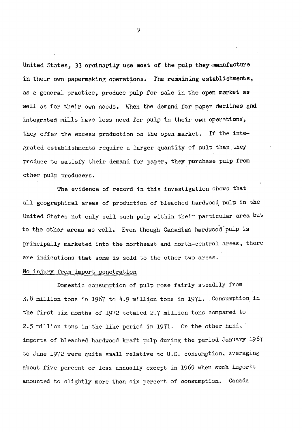United States» *33* ordinarily use most of the pulp they manufacture in their own papermaking operations. The remaining establishments, as *a* general practice, produce pulp for sale in the open market as well as for their own needs. When the demand for paper declines and integrated mills have less need for pulp in their own operations, they offer the excess production on the open market. If the inte-· grated establishments require a larger quantity of pulp than they produce to satisfy their demand for paper, they purchase pulp from other pulp producers.

The evidence of record in this investigation shows that all geographical areas of production of bleached hardwood pulp in the United States not only sell such pulp within their particular area but to the other areas as well. Even though Canadian hardwood-pulp is principally marketed into the northeast and north-central areas, there are indications that some is sold to the other two areas.

#### No injury from import penetration

Domestic consumption of pulp rose fairly steadily from 3.8 million tons in 1967 to 4.9 million tons in 1971. Consumption in the first six months of 1972 totaled 2.7 million tons compared to 2.5 million tons in the like period in 1971. On the other hand, imports of bleached hardwood kraft pulp during the period January 1967 to June 1972 were quite small relative to U.S. consumption, averaging about five percent or less annually except in 1969 when such imports amounted to slightly more than six percent of consumption. Canada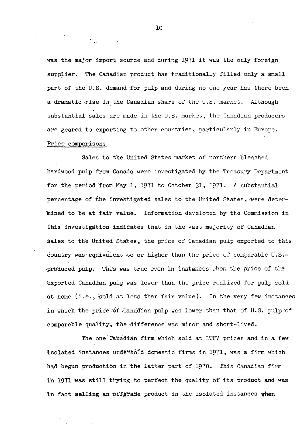was the major import source and during 1971 it was the only foreign supplier. The Canadian product has traditionally filled only a small part of the U.S. demand for pulp and during no one year has there been a dramatic rise in the Canadian share of the U.S. market. Although substantial sales are made in the U.S. market, the Canadian producers are geared to exporting to other countries, particularly in Europe. Price comparisons

Sales to the United States market of northern bleached hardwood pulp from Canada were investigated by the Treasury Department for the period from May 1, 1971 to October 31, 1971. A substantial percentage of the investigated sales to the United States, were deter-'mined to be at fair value. Information developed by the Commission in this investigation indieates that in the vast majority of Canadian sales to the United States, the price of Canadian pulp exported to this country was equivalent to or higher than the price of comparable  $U.S.$ produced pulp. This was true even in instances when the price of the exported Canadian pulp was lower than the price realized for pulp sold at home (i.e., sold at less than fair value). In the very few instances in which the price of Canadian pulp was lower than that of U.S. pulp of comparable quality, the difference was minor and short-lived.

The one Canadian firm which sold at LTFV prices and in a few 'isolated instances uridersoid domestic firms in 1971, was a firm which had begun production in 'the latter part of 1970. This Canadian firm in 1971 was still trying to perfect the quality of its product and was in fact selling an offgrade product in the isolated instances when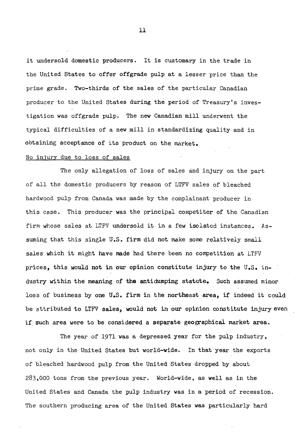it undersold domestic producers. It is customary in the trade in the United States to offer offgrade pulp at a lesser price than the prime grade. Two-thirds of the sales of the particular Canadian producer to the United States during the period of Treasury's investigation was offgrade pulp. The *new* Canadian mill underwent the typical difficulties of a new mill in standardizing quality and in obtaining acceptance of its product on the market.

#### No injury due to loss of sales

The only allegation of loss of sales and injury on the part of all the domestic producers by reason of LTFV sales of bleached hardwood pulp from Canada was made by the complainant producer in this case. This producer was the principal competitor of the Canadian firm whose sales at LTFV undersold it in a few isolated instances. Assuming that this single U.S. firm did not make some relatively small sales which it might have made had there been no competition at LTFV prices, this would not in our opinion constitute injury to the U.S. industry within the meaning of the antidumping statute. Such assumed minor loss of business by one U.S. firm in the northeast area, if indeed it could be attributed to LTFV sales, would not in our opinion constitute injury even if such area were to be considered a separate geographical market area.

The year of 1971 was a depressed year for the pulp industry, not only in the United States but world-wide. In that year the exports of bleached hardwood pulp from the United States dropped by about 283,000 tons from the previous year. World-wide, as well as in the United States and Canada the pulp industry was in a period of recession. The southern producing area of the United States was particularly hard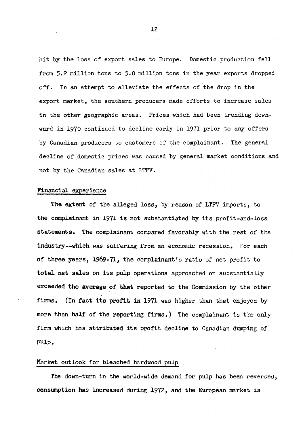hit by the loss of export sales to Europe. Domestic production fell from 5.2 million tons to 5.0 million tons in the year exports dropped off. In an attempt to alleviate the effects of the drop in the export market, the southern producers made efforts to increase sales in the other geographic areas. Prices which had been trending downward in 1970 continued to decline early in 1971 prior to any offers by Canadian producers to customers of the complainant. The general decline of domestic prices was caused by general market conditions and not by the Canadian sales at LTFV.

#### Financial experience

The extent of the alleged loss, by reason of LTFV imports, to the complainant in 1971 is not substantiated by its profit-and-loss statements. The complainant compared favorably with the rest of the industry--which was suffering from an economic recession. For each of three years, 1969-71, the complainant's ratio of net profit to total net sales on its pulp operations approached or substantially exceeded the average of that reported to the Commission by the other firms. (In fact its profit in 1971 was higher than that enjoyed by more than half of the reporting firms. ) The complainant is the only firm which has attributed its profit decline to Canadian dumping of pulp.

## Market outlook for bleached hardwood pulp

The down-turn in the world-wide demand for pulp has been reversed, consumption has increased during 1972, and the European market is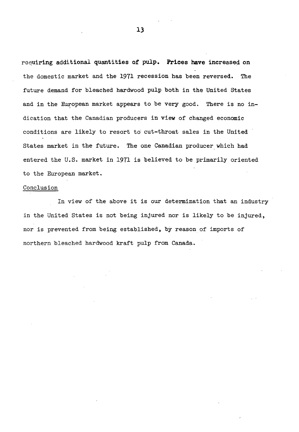requiring additional quantities of pulp. Prices have increased on the domestic market and the 1971 recession has been reversed. The future demand for bleached hardwood pulp both in the United States and in the European market appears to be very good. There is no indication that the Canadian producers in view of changed economic conditions are likely to resort to cut-throat sales in the United States market in the future. The one Canadian producer which had entered the U.S. market in 1971 is believed to be primarily oriented to the European market.

#### Conclusion

In view of the above it is our determination that an industry in the United States is not being injured nor is likely to be injured, nor is prevented from being established, by reason of imports of northern bleached hardwood kraft pulp from Canada.